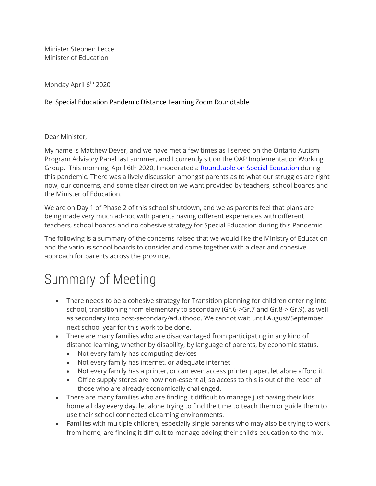Minister Stephen Lecce Minister of Education

Monday April 6<sup>th</sup> 2020

## Re: Special Education Pandemic Distance Learning Zoom Roundtable

Dear Minister,

My name is Matthew Dever, and we have met a few times as I served on the Ontario Autism Program Advisory Panel last summer, and I currently sit on the OAP Implementation Working Group. This morning, April 6th 2020, I moderated a Roundtable on Special Education during this pandemic. There was a lively discussion amongst parents as to what our struggles are right now, our concerns, and some clear direction we want provided by teachers, school boards and the Minister of Education.

We are on Day 1 of Phase 2 of this school shutdown, and we as parents feel that plans are being made very much ad-hoc with parents having different experiences with different teachers, school boards and no cohesive strategy for Special Education during this Pandemic.

The following is a summary of the concerns raised that we would like the Ministry of Education and the various school boards to consider and come together with a clear and cohesive approach for parents across the province.

## Summary of Meeting

- There needs to be a cohesive strategy for Transition planning for children entering into school, transitioning from elementary to secondary (Gr.6->Gr.7 and Gr.8-> Gr.9), as well as secondary into post-secondary/adulthood. We cannot wait until August/September next school year for this work to be done.
- There are many families who are disadvantaged from participating in any kind of distance learning, whether by disability, by language of parents, by economic status.
	- Not every family has computing devices
	- Not every family has internet, or adequate internet
	- Not every family has a printer, or can even access printer paper, let alone afford it.
	- Office supply stores are now non-essential, so access to this is out of the reach of those who are already economically challenged.
- There are many families who are finding it difficult to manage just having their kids home all day every day, let alone trying to find the time to teach them or guide them to use their school connected eLearning environments.
- Families with multiple children, especially single parents who may also be trying to work from home, are finding it difficult to manage adding their child's education to the mix.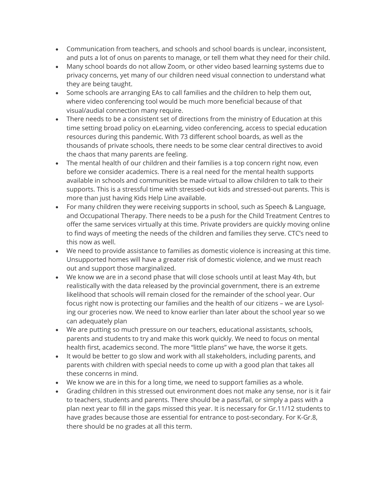- Communication from teachers, and schools and school boards is unclear, inconsistent, and puts a lot of onus on parents to manage, or tell them what they need for their child.
- Many school boards do not allow Zoom, or other video based learning systems due to privacy concerns, yet many of our children need visual connection to understand what they are being taught.
- Some schools are arranging EAs to call families and the children to help them out, where video conferencing tool would be much more beneficial because of that visual/audial connection many require.
- There needs to be a consistent set of directions from the ministry of Education at this time setting broad policy on eLearning, video conferencing, access to special education resources during this pandemic. With 73 different school boards, as well as the thousands of private schools, there needs to be some clear central directives to avoid the chaos that many parents are feeling.
- The mental health of our children and their families is a top concern right now, even before we consider academics. There is a real need for the mental health supports available in schools and communities be made virtual to allow children to talk to their supports. This is a stressful time with stressed-out kids and stressed-out parents. This is more than just having Kids Help Line available.
- For many children they were receiving supports in school, such as Speech & Language, and Occupational Therapy. There needs to be a push for the Child Treatment Centres to offer the same services virtually at this time. Private providers are quickly moving online to find ways of meeting the needs of the children and families they serve. CTC's need to this now as well.
- We need to provide assistance to families as domestic violence is increasing at this time. Unsupported homes will have a greater risk of domestic violence, and we must reach out and support those marginalized.
- We know we are in a second phase that will close schools until at least May 4th, but realistically with the data released by the provincial government, there is an extreme likelihood that schools will remain closed for the remainder of the school year. Our focus right now is protecting our families and the health of our citizens – we are Lysoling our groceries now. We need to know earlier than later about the school year so we can adequately plan
- We are putting so much pressure on our teachers, educational assistants, schools, parents and students to try and make this work quickly. We need to focus on mental health first, academics second. The more "little plans" we have, the worse it gets.
- It would be better to go slow and work with all stakeholders, including parents, and parents with children with special needs to come up with a good plan that takes all these concerns in mind.
- We know we are in this for a long time, we need to support families as a whole.
- Grading children in this stressed out environment does not make any sense, nor is it fair to teachers, students and parents. There should be a pass/fail, or simply a pass with a plan next year to fill in the gaps missed this year. It is necessary for Gr.11/12 students to have grades because those are essential for entrance to post-secondary. For K-Gr.8, there should be no grades at all this term.